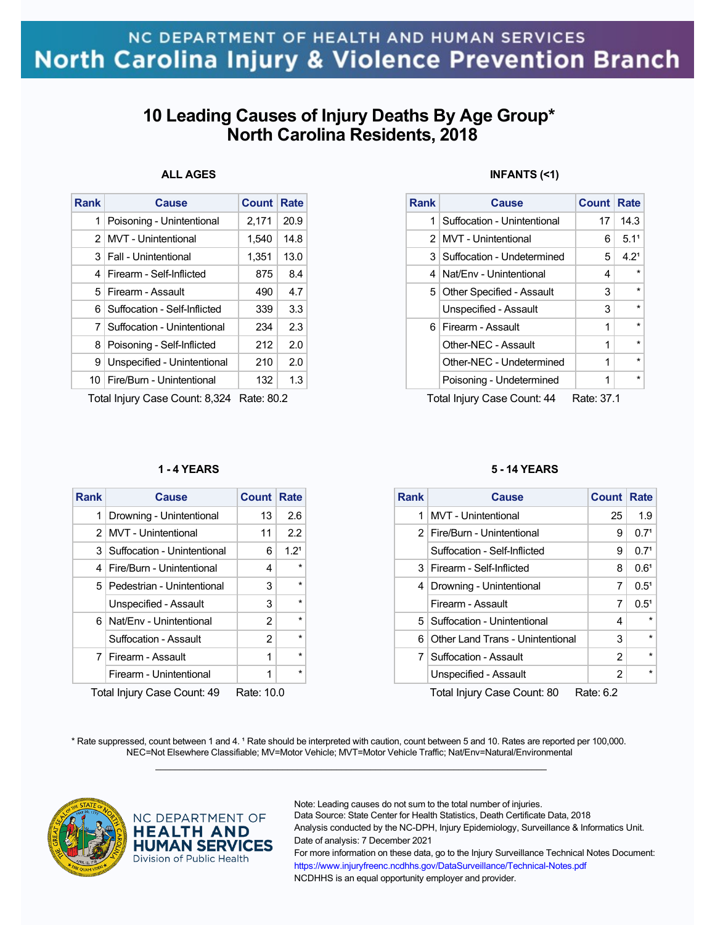# **10 Leading Causes of Injury Deaths By Age Group\* North Carolina Residents, 2018**

## **ALL AGES**

| Poisoning - Unintentional<br>MVT - Unintentional | 2,171 | 20.9 |
|--------------------------------------------------|-------|------|
|                                                  |       |      |
|                                                  | 1.540 | 14.8 |
| 3   Fall - Unintentional                         | 1,351 | 13.0 |
| Firearm - Self-Inflicted                         | 875   | 8.4  |
| 5 Firearm - Assault                              | 490   | 4.7  |
| Suffocation - Self-Inflicted                     | 339   | 3.3  |
| Suffocation - Unintentional                      | 234   | 2.3  |
| Poisoning - Self-Inflicted                       | 212   | 2.0  |
| Unspecified - Unintentional                      | 210   | 2.0  |
| Fire/Burn - Unintentional                        | 132   | 1.3  |
|                                                  |       |      |

Total Injury Case Count: 8,324 Rate: 80.2

### **1 - 4 YEARS**

| <b>Rank</b>                               | Cause                           | <b>Count Rate</b> |                  |  |
|-------------------------------------------|---------------------------------|-------------------|------------------|--|
| 1                                         | Drowning - Unintentional        | 13                | 2.6              |  |
| 2 <sub>1</sub>                            | MVT - Unintentional             | 11                | 2.2              |  |
|                                           | 3   Suffocation - Unintentional | 6                 | 1.2 <sup>1</sup> |  |
|                                           | 4   Fire/Burn - Unintentional   | 4                 | $\star$          |  |
|                                           | 5 Pedestrian - Unintentional    | 3                 | $\star$          |  |
|                                           | Unspecified - Assault           | 3                 | $\star$          |  |
|                                           | 6 Nat/Env - Unintentional       | 2                 | $\star$          |  |
|                                           | Suffocation - Assault           | $\overline{2}$    | $\star$          |  |
|                                           | 7 Firearm - Assault             | 1                 | $\star$          |  |
|                                           | Firearm - Unintentional         | 1                 | $\star$          |  |
| Total Injuny Caso Count: 40<br>Data: 10.0 |                                 |                   |                  |  |

Total Injury Case Count: 49 Rate: 10.0

### **INFANTS (<1)**

| <b>Count Rate</b> |
|-------------------|
| 14.3              |
| 5.1 <sup>1</sup>  |
| 4.2 <sup>1</sup>  |
|                   |
|                   |
|                   |
|                   |
| $\star$           |
|                   |
|                   |
|                   |

Total Injury Case Count: 44 Rate: 37.1

### **5 - 14 YEARS**

| <b>Rank</b>    | <b>Cause</b>                     | <b>Count</b> | Rate             |
|----------------|----------------------------------|--------------|------------------|
| 1              | <b>MVT</b> - Unintentional       | 25           | 1.9              |
| 2 <sup>1</sup> | Fire/Burn - Unintentional        | 9            | 0.7 <sup>1</sup> |
|                | Suffocation - Self-Inflicted     | 9            | 0.7 <sup>1</sup> |
| 3              | Firearm - Self-Inflicted         | 8            | 0.6 <sup>1</sup> |
| 4              | Drowning - Unintentional         | 7            | $0.5^1$          |
|                | Firearm - Assault                | 7            | $0.5^1$          |
| 5 <sup>1</sup> | Suffocation - Unintentional      | 4            | $\star$          |
| 6              | Other Land Trans - Unintentional | 3            | $\star$          |
|                | 7   Suffocation - Assault        | 2            | $\star$          |
|                | Unspecified - Assault            | 2            | $\star$          |
|                | Total Iniury Case Count: 80      | Rate: 6.2    |                  |

\* Rate suppressed, count between 1 and 4. <sup>1</sup> Rate should be interpreted with caution, count between 5 and 10. Rates are reported per 100,000. NEC=Not Elsewhere Classifiable; MV=Motor Vehicle; MVT=Motor Vehicle Traffic; Nat/Env=Natural/Environmental  $\mathcal{L}_\mathcal{L} = \{ \mathcal{L}_\mathcal{L} = \{ \mathcal{L}_\mathcal{L} = \{ \mathcal{L}_\mathcal{L} = \{ \mathcal{L}_\mathcal{L} = \{ \mathcal{L}_\mathcal{L} = \{ \mathcal{L}_\mathcal{L} = \{ \mathcal{L}_\mathcal{L} = \{ \mathcal{L}_\mathcal{L} = \{ \mathcal{L}_\mathcal{L} = \{ \mathcal{L}_\mathcal{L} = \{ \mathcal{L}_\mathcal{L} = \{ \mathcal{L}_\mathcal{L} = \{ \mathcal{L}_\mathcal{L} = \{ \mathcal{L}_\mathcal{$ 



### NC DEPARTMENT OF **HEALTH AND HUMAN SERVICES** Division of Public Health

Note: Leading causes do not sum to the total number of injuries.

Data Source: State Center for Health Statistics, Death Certificate Data, 2018 Analysis conducted by the NC-DPH, Injury Epidemiology, Surveillance & Informatics Unit. Date of analysis: 7 December 2021

For more information on these data, go to the Injury Surveillance Technical Notes Document: https://www.injuryfreenc.ncdhhs.gov/DataSurveillance/Technical-Notes.pdf NCDHHS is an equal opportunity employer and provider.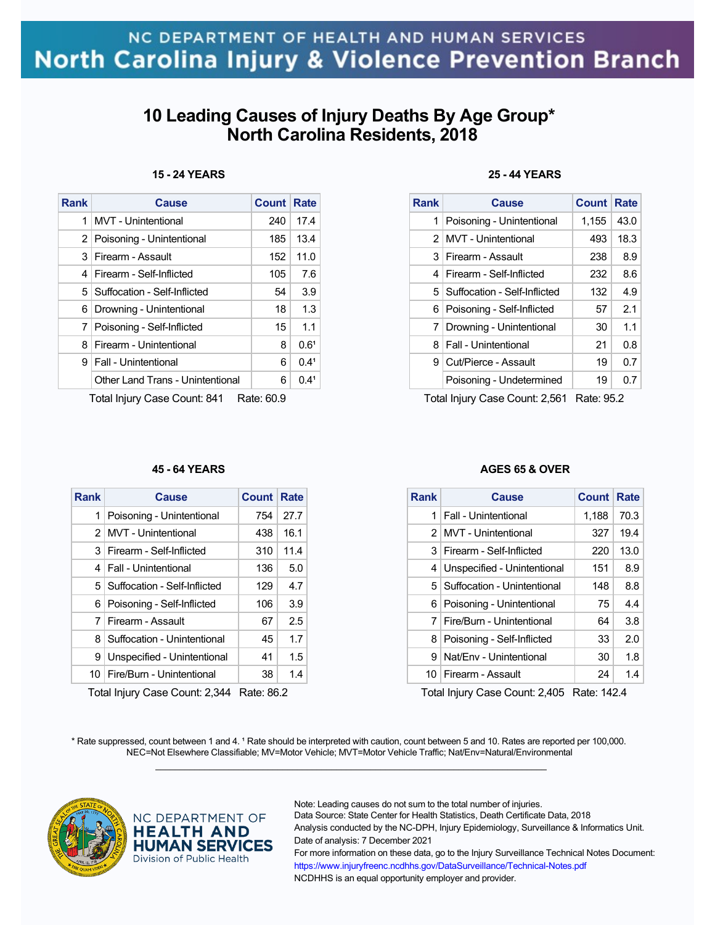# **10 Leading Causes of Injury Deaths By Age Group\* North Carolina Residents, 2018**

### **15 - 24 YEARS**

| <b>Rank</b>                                                                         | <b>Cause</b>                     | <b>Count</b> | <b>Rate</b>      |  |
|-------------------------------------------------------------------------------------|----------------------------------|--------------|------------------|--|
| 1                                                                                   | <b>MVT</b> - Unintentional       | 240          | 17.4             |  |
| $\overline{2}$                                                                      | Poisoning - Unintentional        | 185          | 13.4             |  |
| 3                                                                                   | Firearm - Assault                | 152          | 11.0             |  |
| 4                                                                                   | Firearm - Self-Inflicted         | 105          | 7.6              |  |
| 5 <sup>1</sup>                                                                      | Suffocation - Self-Inflicted     | 54           | 3.9              |  |
| 6                                                                                   | Drowning - Unintentional         | 18           | 1.3              |  |
| 7                                                                                   | Poisoning - Self-Inflicted       | 15           | 1.1              |  |
| 8                                                                                   | Firearm - Unintentional          | 8            | 0.6 <sup>1</sup> |  |
| 9                                                                                   | <b>Fall - Unintentional</b>      | 6            | 0.4 <sup>1</sup> |  |
|                                                                                     | Other Land Trans - Unintentional | 6            | 0.4 <sup>1</sup> |  |
| $T_{\alpha}$ tel Inium (Cass Count: 011)<br>$D_{\alpha}$ $\alpha$ $\alpha$ $\alpha$ |                                  |              |                  |  |

Total Injury Case Count: 841 Rate: 60.9

### **45 - 64 YEARS**

| <b>Rank</b>    | Cause                        | <b>Count Rate</b> |                  |
|----------------|------------------------------|-------------------|------------------|
| 1              | Poisoning - Unintentional    | 754               | 27.7             |
| 2 <sub>1</sub> | <b>MVT</b> - Unintentional   | 438               | 16.1             |
| 3              | Firearm - Self-Inflicted     | 310               | 11.4             |
| 4              | <b>Fall - Unintentional</b>  | 136               | 5.0              |
| 5              | Suffocation - Self-Inflicted | 129               | 4.7 <sup>1</sup> |
| 6              | Poisoning - Self-Inflicted   | 106               | 3.9              |
| 7              | Firearm - Assault            | 67                | 2.5              |
| 8              | Suffocation - Unintentional  | 45                | 1.7 <sub>1</sub> |
| 9              | Unspecified - Unintentional  | 41                | 1.5              |
| 10             | Fire/Burn - Unintentional    | 38                | 1.4              |

Total Injury Case Count: 2,344 Rate: 86.2

### **25 - 44 YEARS**

| <b>Rank</b>    | <b>Cause</b>                   | <b>Count Rate</b> |      |
|----------------|--------------------------------|-------------------|------|
| 1              | Poisoning - Unintentional      | 1,155             | 43.0 |
| 2 <sub>1</sub> | MVT - Unintentional            | 493               | 18.3 |
| 3 <sup>1</sup> | Firearm - Assault              | 238               | 8.9  |
| 4              | Firearm - Self-Inflicted       | 232               | 8.6  |
|                | 5 Suffocation - Self-Inflicted | 132               | 4.9  |
|                | 6 Poisoning - Self-Inflicted   | 57                | 2.1  |
|                | 7   Drowning - Unintentional   | 30                | 1.1  |
| 8              | <b>Fall - Unintentional</b>    | 21                | 0.8  |
| 9              | Cut/Pierce - Assault           | 19                | 0.7  |
|                | Poisoning - Undetermined       | 19                | 0.7  |
|                |                                |                   |      |

Total Injury Case Count: 2,561 Rate: 95.2

### **AGES 65 & OVER**

| Rank | Cause                           | Count | Rate |
|------|---------------------------------|-------|------|
| 1    | Fall - Unintentional            | 1,188 | 70.3 |
|      | 2 MVT - Unintentional           | 327   | 19.4 |
| 3    | Firearm - Self-Inflicted        | 220   | 13.0 |
| 4    | Unspecified - Unintentional     | 151   | 8.9  |
|      | 5   Suffocation - Unintentional | 148   | 8.8  |
| 6    | Poisoning - Unintentional       | 75    | 4.4  |
| 7    | Fire/Burn - Unintentional       | 64    | 3.8  |
| 8    | Poisoning - Self-Inflicted      | 33    | 2.0  |
| я    | Nat/Env - Unintentional         | 30    | 1.8  |
| 10   | Firearm - Assault               | 24    | 1.4  |

Total Injury Case Count: 2,405 Rate: 142.4

\* Rate suppressed, count between 1 and 4. <sup>1</sup> Rate should be interpreted with caution, count between 5 and 10. Rates are reported per 100,000. NEC=Not Elsewhere Classifiable; MV=Motor Vehicle; MVT=Motor Vehicle Traffic; Nat/Env=Natural/Environmental  $\mathcal{L}_\mathcal{L} = \{ \mathcal{L}_\mathcal{L} = \{ \mathcal{L}_\mathcal{L} = \{ \mathcal{L}_\mathcal{L} = \{ \mathcal{L}_\mathcal{L} = \{ \mathcal{L}_\mathcal{L} = \{ \mathcal{L}_\mathcal{L} = \{ \mathcal{L}_\mathcal{L} = \{ \mathcal{L}_\mathcal{L} = \{ \mathcal{L}_\mathcal{L} = \{ \mathcal{L}_\mathcal{L} = \{ \mathcal{L}_\mathcal{L} = \{ \mathcal{L}_\mathcal{L} = \{ \mathcal{L}_\mathcal{L} = \{ \mathcal{L}_\mathcal{$ 



### NC DEPARTMENT OF **HEALTH AND HUMAN SERVICES** Division of Public Health

Note: Leading causes do not sum to the total number of injuries.

Data Source: State Center for Health Statistics, Death Certificate Data, 2018 Analysis conducted by the NC-DPH, Injury Epidemiology, Surveillance & Informatics Unit. Date of analysis: 7 December 2021

For more information on these data, go to the Injury Surveillance Technical Notes Document: https://www.injuryfreenc.ncdhhs.gov/DataSurveillance/Technical-Notes.pdf NCDHHS is an equal opportunity employer and provider.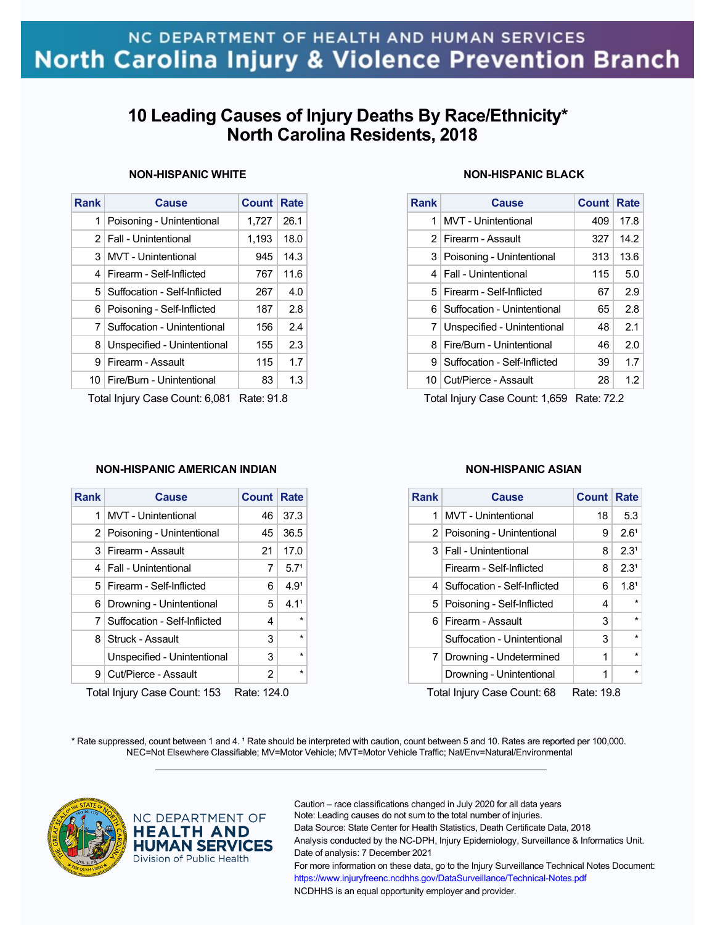# **10 Leading Causes of Injury Deaths By Race/Ethnicity\* North Carolina Residents, 2018**

### **NON-HISPANIC WHITE**

| <b>Rank</b>    | <b>Cause</b>                   | <b>Count</b> | Rate |  |
|----------------|--------------------------------|--------------|------|--|
| 1              | Poisoning - Unintentional      | 1.727        | 26.1 |  |
|                | 2   Fall - Unintentional       | 1,193        | 18.0 |  |
| 3              | <b>MVT</b> - Unintentional     | 945          | 14.3 |  |
| 4              | Firearm - Self-Inflicted       | 767          | 11.6 |  |
| 5 <sup>1</sup> | Suffocation - Self-Inflicted   | 267          | 4.0  |  |
| 6              | Poisoning - Self-Inflicted     | 187          | 2.8  |  |
| 71             | Suffocation - Unintentional    | 156          | 24   |  |
| 8              | Unspecified - Unintentional    | 155          | 2.3  |  |
| 9              | Firearm - Assault              | 115          | 1.7  |  |
|                | 10   Fire/Burn - Unintentional | 83           | 1.3  |  |
|                |                                |              |      |  |

Total Injury Case Count: 6,081 Rate: 91.8

### **NON-HISPANIC AMERICAN INDIAN**

| Rank | Cause                            | <b>Count Rate</b> |                  |
|------|----------------------------------|-------------------|------------------|
| 1    | <b>MVT</b> - Unintentional       | 46                | 37.3             |
|      | 2 Poisoning - Unintentional      | 45                | 36.5             |
|      | 3 Firearm - Assault              | 21                | 17.0             |
|      | 4   Fall - Unintentional         | 7                 | 5.7 <sup>1</sup> |
|      | 5   Firearm - Self-Inflicted     | 6                 | 4.9 <sup>1</sup> |
|      | 6 Drowning - Unintentional       | 5.                | 4.1 <sup>1</sup> |
|      | 7   Suffocation - Self-Inflicted | 4                 | $\star$          |
|      | 8 Struck - Assault               | 3                 | $\star$          |
|      | Unspecified - Unintentional      | 3                 | $\star$          |
| 9    | Cut/Pierce - Assault             | 2                 | $\star$          |

Total Injury Case Count: 153 Rate: 124.0

## **NON-HISPANIC BLACK**

| <b>Rank</b> | <b>Cause</b>                  | Count Rate |                  |
|-------------|-------------------------------|------------|------------------|
| 1           | MVT - Unintentional           | 409        | 17.8             |
|             | 2 Firearm - Assault           | 327        | 14.2             |
|             | 3   Poisoning - Unintentional | 313        | 13.6             |
| 4           | <b>Fall - Unintentional</b>   | 115        | 5.0              |
|             | 5   Firearm - Self-Inflicted  | 67         | 2.9              |
| 6           | Suffocation - Unintentional   | 65         | 2.8              |
| 7           | Unspecified - Unintentional   | 48         | 2.1              |
| 8           | Fire/Burn - Unintentional     | 46         | 2.0 <sub>1</sub> |
| 9           | Suffocation - Self-Inflicted  | 39         | 1.7 <sub>1</sub> |
|             | 10 Cut/Pierce - Assault       | 28         | 1.2              |

Total Injury Case Count: 1,659 Rate: 72.2

### **NON-HISPANIC ASIAN**

| <b>Rank</b>                                                                                | <b>Cause</b>                     | <b>Count Rate</b> |                  |  |
|--------------------------------------------------------------------------------------------|----------------------------------|-------------------|------------------|--|
| 1                                                                                          | <b>MVT</b> - Unintentional       | 18                | 5.3              |  |
|                                                                                            | 2 Poisoning - Unintentional      | 9                 | 2.6 <sup>1</sup> |  |
|                                                                                            | 3   Fall - Unintentional         | 8                 | 2.3 <sup>1</sup> |  |
|                                                                                            | Firearm - Self-Inflicted         | 8                 | 2.3 <sup>1</sup> |  |
|                                                                                            | 4   Suffocation - Self-Inflicted | 6                 | 1.8 <sup>1</sup> |  |
|                                                                                            | 5 Poisoning - Self-Inflicted     | 4                 | $\star$          |  |
| 6.                                                                                         | Firearm - Assault                | 3                 | $\star$          |  |
|                                                                                            | Suffocation - Unintentional      | 3                 | $\star$          |  |
| 71                                                                                         | Drowning - Undetermined          | 1                 | $\star$          |  |
|                                                                                            | Drowning - Unintentional         | 1                 | $\star$          |  |
| $T_{\text{shell}}$ let $m$ ; $Q_{\text{max}}$ , $Q_{\text{c}}$ , and $Q_{\text{c}}$<br>n.u |                                  |                   |                  |  |

Total Injury Case Count: 68 Rate: 19.8

\* Rate suppressed, count between 1 and 4. <sup>1</sup> Rate should be interpreted with caution, count between 5 and 10. Rates are reported per 100,000. NEC=Not Elsewhere Classifiable; MV=Motor Vehicle; MVT=Motor Vehicle Traffic; Nat/Env=Natural/Environmental  $\mathcal{L}_\mathcal{L} = \{ \mathcal{L}_\mathcal{L} = \{ \mathcal{L}_\mathcal{L} = \{ \mathcal{L}_\mathcal{L} = \{ \mathcal{L}_\mathcal{L} = \{ \mathcal{L}_\mathcal{L} = \{ \mathcal{L}_\mathcal{L} = \{ \mathcal{L}_\mathcal{L} = \{ \mathcal{L}_\mathcal{L} = \{ \mathcal{L}_\mathcal{L} = \{ \mathcal{L}_\mathcal{L} = \{ \mathcal{L}_\mathcal{L} = \{ \mathcal{L}_\mathcal{L} = \{ \mathcal{L}_\mathcal{L} = \{ \mathcal{L}_\mathcal{$ 



### NC DEPARTMENT OF **HEALTH AND HUMAN SERVICES** Division of Public Health

Caution – race classifications changed in July 2020 for all data years Note: Leading causes do not sum to the total number of injuries. Data Source: State Center for Health Statistics, Death Certificate Data, 2018 Analysis conducted by the NC-DPH, Injury Epidemiology, Surveillance & Informatics Unit. Date of analysis: 7 December 2021 For more information on these data, go to the Injury Surveillance Technical Notes Document: https://www.injuryfreenc.ncdhhs.gov/DataSurveillance/Technical-Notes.pdf NCDHHS is an equal opportunity employer and provider.